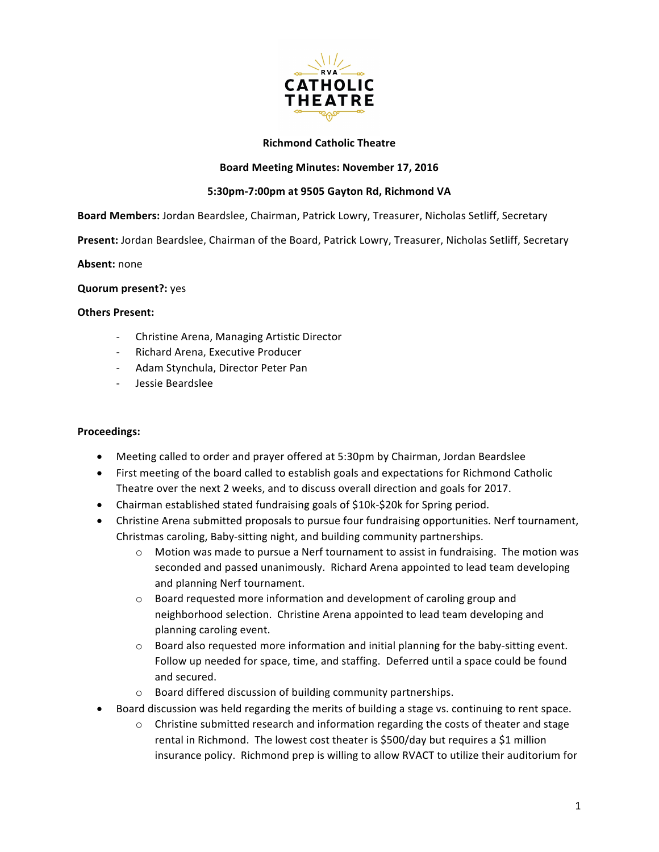

# **Richmond Catholic Theatre**

## **Board Meeting Minutes: November 17, 2016**

# **5:30pm-7:00pm at 9505 Gayton Rd, Richmond VA**

**Board Members:** Jordan Beardslee, Chairman, Patrick Lowry, Treasurer, Nicholas Setliff, Secretary

Present: Jordan Beardslee, Chairman of the Board, Patrick Lowry, Treasurer, Nicholas Setliff, Secretary

**Absent:** none

**Quorum present?: yes** 

#### **Others Present:**

- Christine Arena, Managing Artistic Director
- Richard Arena, Executive Producer
- Adam Stynchula, Director Peter Pan
- Jessie Beardslee

### **Proceedings:**

- Meeting called to order and prayer offered at 5:30pm by Chairman, Jordan Beardslee
- First meeting of the board called to establish goals and expectations for Richmond Catholic Theatre over the next 2 weeks, and to discuss overall direction and goals for 2017.
- Chairman established stated fundraising goals of \$10k-\$20k for Spring period.
- Christine Arena submitted proposals to pursue four fundraising opportunities. Nerf tournament, Christmas caroling, Baby-sitting night, and building community partnerships.
	- $\circ$  Motion was made to pursue a Nerf tournament to assist in fundraising. The motion was seconded and passed unanimously. Richard Arena appointed to lead team developing and planning Nerf tournament.
	- $\circ$  Board requested more information and development of caroling group and neighborhood selection. Christine Arena appointed to lead team developing and planning caroling event.
	- $\circ$  Board also requested more information and initial planning for the baby-sitting event. Follow up needed for space, time, and staffing. Deferred until a space could be found and secured.
	- $\circ$  Board differed discussion of building community partnerships.
- Board discussion was held regarding the merits of building a stage vs. continuing to rent space.
	- $\circ$  Christine submitted research and information regarding the costs of theater and stage rental in Richmond. The lowest cost theater is \$500/day but requires a \$1 million insurance policy. Richmond prep is willing to allow RVACT to utilize their auditorium for